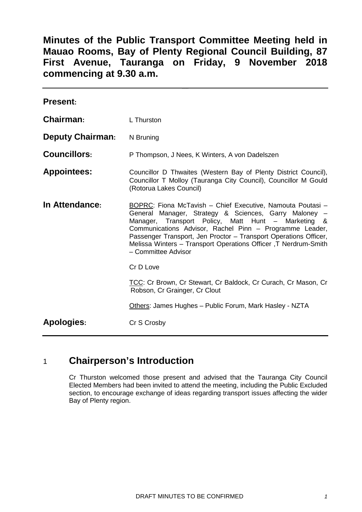# **Minutes of the Public Transport Committee Meeting held in Mauao Rooms, Bay of Plenty Regional Council Building, 87 First Avenue, Tauranga on Friday, 9 November 2018 commencing at 9.30 a.m.**

| <b>Present:</b>         |                                                                                                                                                                                                                                                                                                                                                                                                    |
|-------------------------|----------------------------------------------------------------------------------------------------------------------------------------------------------------------------------------------------------------------------------------------------------------------------------------------------------------------------------------------------------------------------------------------------|
| Chairman:               | L Thurston                                                                                                                                                                                                                                                                                                                                                                                         |
| <b>Deputy Chairman:</b> | N Bruning                                                                                                                                                                                                                                                                                                                                                                                          |
| <b>Councillors:</b>     | P Thompson, J Nees, K Winters, A von Dadelszen                                                                                                                                                                                                                                                                                                                                                     |
| <b>Appointees:</b>      | Councillor D Thwaites (Western Bay of Plenty District Council),<br>Councillor T Molloy (Tauranga City Council), Councillor M Gould<br>(Rotorua Lakes Council)                                                                                                                                                                                                                                      |
| In Attendance:          | BOPRC: Fiona McTavish - Chief Executive, Namouta Poutasi -<br>General Manager, Strategy & Sciences, Garry Maloney -<br>Manager, Transport Policy, Matt Hunt - Marketing &<br>Communications Advisor, Rachel Pinn - Programme Leader,<br>Passenger Transport, Jen Proctor - Transport Operations Officer,<br>Melissa Winters - Transport Operations Officer, T Nerdrum-Smith<br>- Committee Advisor |
|                         | Cr D Love                                                                                                                                                                                                                                                                                                                                                                                          |
|                         | TCC: Cr Brown, Cr Stewart, Cr Baldock, Cr Curach, Cr Mason, Cr<br>Robson, Cr Grainger, Cr Clout                                                                                                                                                                                                                                                                                                    |
|                         | Others: James Hughes - Public Forum, Mark Hasley - NZTA                                                                                                                                                                                                                                                                                                                                            |
| <b>Apologies:</b>       | Cr S Crosby                                                                                                                                                                                                                                                                                                                                                                                        |

# 1 **Chairperson's Introduction**

Cr Thurston welcomed those present and advised that the Tauranga City Council Elected Members had been invited to attend the meeting, including the Public Excluded section, to encourage exchange of ideas regarding transport issues affecting the wider Bay of Plenty region.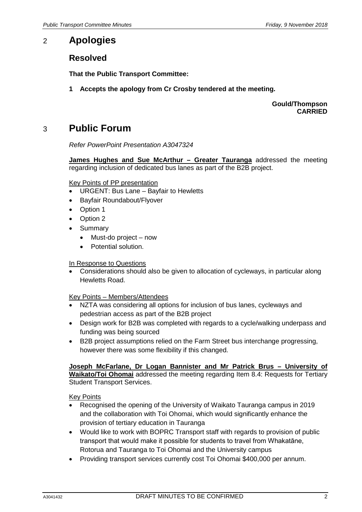## 2 **Apologies**

## **Resolved**

**That the Public Transport Committee:**

**1 Accepts the apology from Cr Crosby tendered at the meeting.**

**Gould/Thompson CARRIED**

# 3 **Public Forum**

*Refer PowerPoint Presentation A3047324*

**James Hughes and Sue McArthur – Greater Tauranga** addressed the meeting regarding inclusion of dedicated bus lanes as part of the B2B project.

#### Key Points of PP presentation

- URGENT: Bus Lane Bayfair to Hewletts
- Bayfair Roundabout/Flyover
- Option 1
- Option 2
- Summary
	- Must-do project now
	- Potential solution.

#### In Response to Questions

• Considerations should also be given to allocation of cycleways, in particular along Hewletts Road.

#### Key Points – Members/Attendees

- NZTA was considering all options for inclusion of bus lanes, cycleways and pedestrian access as part of the B2B project
- Design work for B2B was completed with regards to a cycle/walking underpass and funding was being sourced
- B2B project assumptions relied on the Farm Street bus interchange progressing, however there was some flexibility if this changed.

#### **Joseph McFarlane, Dr Logan Bannister and Mr Patrick Brus – University of Waikato/Toi Ohomai** addressed the meeting regarding Item 8.4: Requests for Tertiary Student Transport Services.

#### **Key Points**

- Recognised the opening of the University of Waikato Tauranga campus in 2019 and the collaboration with Toi Ohomai, which would significantly enhance the provision of tertiary education in Tauranga
- Would like to work with BOPRC Transport staff with regards to provision of public transport that would make it possible for students to travel from Whakatāne, Rotorua and Tauranga to Toi Ohomai and the University campus
- Providing transport services currently cost Toi Ohomai \$400,000 per annum.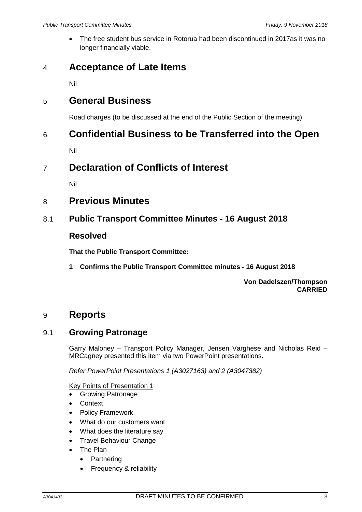• The free student bus service in Rotorua had been discontinued in 2017as it was no longer financially viable.

# 4 **Acceptance of Late Items**

Nil

## 5 **General Business**

Road charges (to be discussed at the end of the Public Section of the meeting)

## 6 **Confidential Business to be Transferred into the Open**

Nil

## 7 **Declaration of Conflicts of Interest**

Nil

## 8 **Previous Minutes**

## 8.1 **Public Transport Committee Minutes - 16 August 2018**

### **Resolved**

**That the Public Transport Committee:**

**1 Confirms the Public Transport Committee minutes - 16 August 2018**

**Von Dadelszen/Thompson CARRIED**

## 9 **Reports**

## 9.1 **Growing Patronage**

Garry Maloney – Transport Policy Manager, Jensen Varghese and Nicholas Reid – MRCagney presented this item via two PowerPoint presentations.

*Refer PowerPoint Presentations 1 (A3027163) and 2 (A3047382)*

### Key Points of Presentation 1

- Growing Patronage
- Context
- Policy Framework
- What do our customers want
- What does the literature say
- Travel Behaviour Change
- The Plan
	- Partnering
	- Frequency & reliability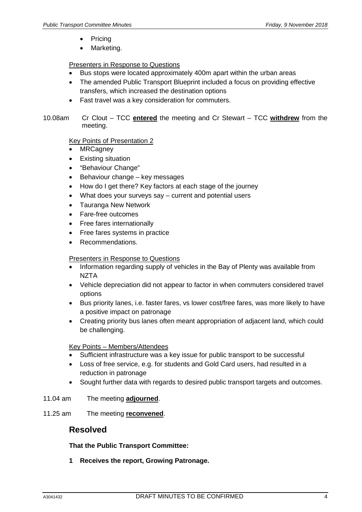- **Pricing**
- Marketing.

### Presenters in Response to Questions

- Bus stops were located approximately 400m apart within the urban areas
- The amended Public Transport Blueprint included a focus on providing effective transfers, which increased the destination options
- Fast travel was a key consideration for commuters.
- 10.08am Cr Clout TCC **entered** the meeting and Cr Stewart TCC **withdrew** from the meeting.

### Key Points of Presentation 2

- **MRCagney**
- **Existing situation**
- "Behaviour Change"
- Behaviour change key messages
- How do I get there? Key factors at each stage of the journey
- What does your surveys say current and potential users
- Tauranga New Network
- Fare-free outcomes
- Free fares internationally
- Free fares systems in practice
- Recommendations.

### Presenters in Response to Questions

- Information regarding supply of vehicles in the Bay of Plenty was available from **NZTA**
- Vehicle depreciation did not appear to factor in when commuters considered travel options
- Bus priority lanes, i.e. faster fares, vs lower cost/free fares, was more likely to have a positive impact on patronage
- Creating priority bus lanes often meant appropriation of adjacent land, which could be challenging.

### Key Points – Members/Attendees

- Sufficient infrastructure was a key issue for public transport to be successful
- Loss of free service, e.g. for students and Gold Card users, had resulted in a reduction in patronage
- Sought further data with regards to desired public transport targets and outcomes.
- 11.04 am The meeting **adjourned**.
- 11.25 am The meeting **reconvened**.

## **Resolved**

### **That the Public Transport Committee:**

**1 Receives the report, Growing Patronage.**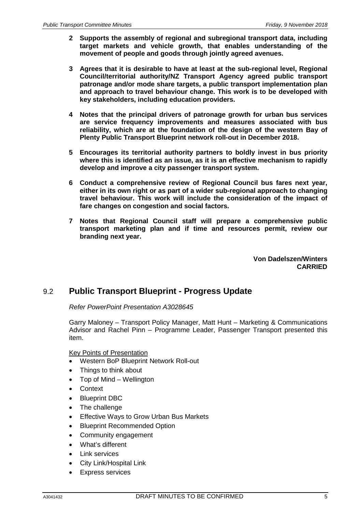- **2 Supports the assembly of regional and subregional transport data, including target markets and vehicle growth, that enables understanding of the movement of people and goods through jointly agreed avenues.**
- **3 Agrees that it is desirable to have at least at the sub-regional level, Regional Council/territorial authority/NZ Transport Agency agreed public transport patronage and/or mode share targets, a public transport implementation plan and approach to travel behaviour change. This work is to be developed with key stakeholders, including education providers.**
- **4 Notes that the principal drivers of patronage growth for urban bus services are service frequency improvements and measures associated with bus reliability, which are at the foundation of the design of the western Bay of Plenty Public Transport Blueprint network roll-out in December 2018.**
- **5 Encourages its territorial authority partners to boldly invest in bus priority where this is identified as an issue, as it is an effective mechanism to rapidly develop and improve a city passenger transport system.**
- **6 Conduct a comprehensive review of Regional Council bus fares next year, either in its own right or as part of a wider sub-regional approach to changing travel behaviour. This work will include the consideration of the impact of fare changes on congestion and social factors.**
- **7 Notes that Regional Council staff will prepare a comprehensive public transport marketing plan and if time and resources permit, review our branding next year.**

**Von Dadelszen/Winters CARRIED**

## 9.2 **Public Transport Blueprint - Progress Update**

*Refer PowerPoint Presentation A3028645*

Garry Maloney – Transport Policy Manager, Matt Hunt – Marketing & Communications Advisor and Rachel Pinn – Programme Leader, Passenger Transport presented this item.

#### Key Points of Presentation

- Western BoP Blueprint Network Roll-out
- Things to think about
- Top of Mind Wellington
- Context
- Blueprint DBC
- The challenge
- Effective Ways to Grow Urban Bus Markets
- **Blueprint Recommended Option**
- Community engagement
- What's different
- Link services
- City Link/Hospital Link
- Express services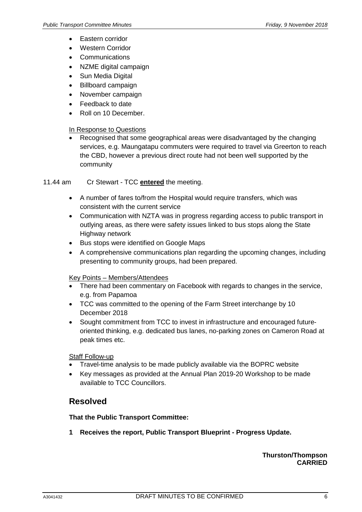- Eastern corridor
- Western Corridor
- Communications
- NZME digital campaign
- Sun Media Digital
- Billboard campaign
- November campaign
- Feedback to date
- Roll on 10 December.

### In Response to Questions

• Recognised that some geographical areas were disadvantaged by the changing services, e.g. Maungatapu commuters were required to travel via Greerton to reach the CBD, however a previous direct route had not been well supported by the community

11.44 am Cr Stewart - TCC **entered** the meeting.

- A number of fares to/from the Hospital would require transfers, which was consistent with the current service
- Communication with NZTA was in progress regarding access to public transport in outlying areas, as there were safety issues linked to bus stops along the State Highway network
- Bus stops were identified on Google Maps
- A comprehensive communications plan regarding the upcoming changes, including presenting to community groups, had been prepared.

### Key Points – Members/Attendees

- There had been commentary on Facebook with regards to changes in the service, e.g. from Papamoa
- TCC was committed to the opening of the Farm Street interchange by 10 December 2018
- Sought commitment from TCC to invest in infrastructure and encouraged futureoriented thinking, e.g. dedicated bus lanes, no-parking zones on Cameron Road at peak times etc.

Staff Follow-up

- Travel-time analysis to be made publicly available via the BOPRC website
- Key messages as provided at the Annual Plan 2019-20 Workshop to be made available to TCC Councillors.

## **Resolved**

### **That the Public Transport Committee:**

**1 Receives the report, Public Transport Blueprint - Progress Update.**

### **Thurston/Thompson CARRIED**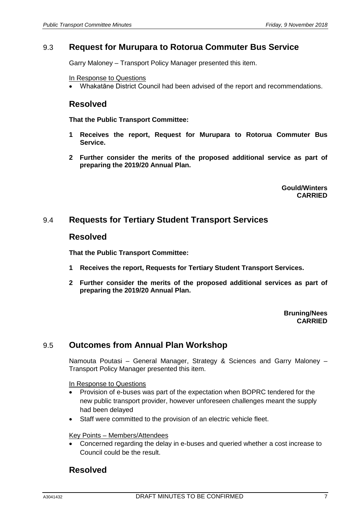### 9.3 **Request for Murupara to Rotorua Commuter Bus Service**

Garry Maloney – Transport Policy Manager presented this item.

In Response to Questions

• Whakatāne District Council had been advised of the report and recommendations.

### **Resolved**

**That the Public Transport Committee:**

- **1 Receives the report, Request for Murupara to Rotorua Commuter Bus Service.**
- **2 Further consider the merits of the proposed additional service as part of preparing the 2019/20 Annual Plan.**

**Gould/Winters CARRIED**

### 9.4 **Requests for Tertiary Student Transport Services**

### **Resolved**

**That the Public Transport Committee:**

- **1 Receives the report, Requests for Tertiary Student Transport Services.**
- **2 Further consider the merits of the proposed additional services as part of preparing the 2019/20 Annual Plan.**

#### **Bruning/Nees CARRIED**

## 9.5 **Outcomes from Annual Plan Workshop**

Namouta Poutasi – General Manager, Strategy & Sciences and Garry Maloney – Transport Policy Manager presented this item.

In Response to Questions

- Provision of e-buses was part of the expectation when BOPRC tendered for the new public transport provider, however unforeseen challenges meant the supply had been delayed
- Staff were committed to the provision of an electric vehicle fleet.

#### Key Points – Members/Attendees

• Concerned regarding the delay in e-buses and queried whether a cost increase to Council could be the result.

### **Resolved**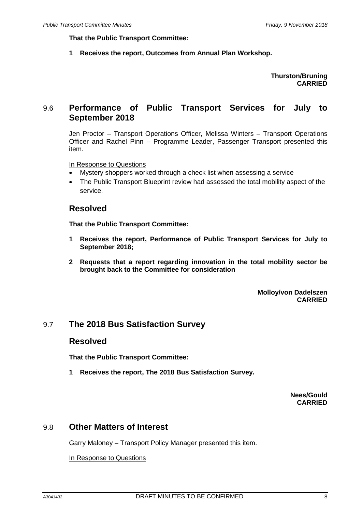**That the Public Transport Committee:**

**1 Receives the report, Outcomes from Annual Plan Workshop.**

### **Thurston/Bruning CARRIED**

## 9.6 **Performance of Public Transport Services for July to September 2018**

Jen Proctor – Transport Operations Officer, Melissa Winters – Transport Operations Officer and Rachel Pinn – Programme Leader, Passenger Transport presented this item.

In Response to Questions

- Mystery shoppers worked through a check list when assessing a service
- The Public Transport Blueprint review had assessed the total mobility aspect of the service.

### **Resolved**

**That the Public Transport Committee:**

- **1 Receives the report, Performance of Public Transport Services for July to September 2018;**
- **2 Requests that a report regarding innovation in the total mobility sector be brought back to the Committee for consideration**

**Molloy/von Dadelszen CARRIED**

### 9.7 **The 2018 Bus Satisfaction Survey**

### **Resolved**

**That the Public Transport Committee:**

**1 Receives the report, The 2018 Bus Satisfaction Survey.**

**Nees/Gould CARRIED**

### 9.8 **Other Matters of Interest**

Garry Maloney – Transport Policy Manager presented this item.

In Response to Questions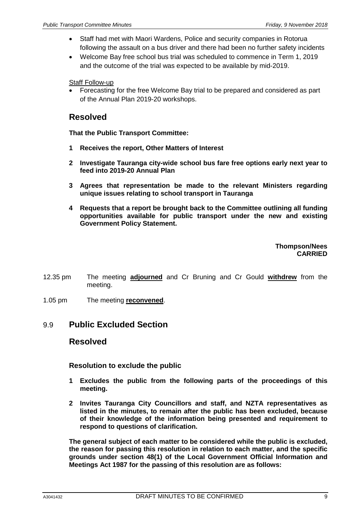- Staff had met with Maori Wardens, Police and security companies in Rotorua following the assault on a bus driver and there had been no further safety incidents
- Welcome Bay free school bus trial was scheduled to commence in Term 1, 2019 and the outcome of the trial was expected to be available by mid-2019.

Staff Follow-up

• Forecasting for the free Welcome Bay trial to be prepared and considered as part of the Annual Plan 2019-20 workshops.

## **Resolved**

**That the Public Transport Committee:**

- **1 Receives the report, Other Matters of Interest**
- **2 Investigate Tauranga city-wide school bus fare free options early next year to feed into 2019-20 Annual Plan**
- **3 Agrees that representation be made to the relevant Ministers regarding unique issues relating to school transport in Tauranga**
- **4 Requests that a report be brought back to the Committee outlining all funding opportunities available for public transport under the new and existing Government Policy Statement.**

**Thompson/Nees CARRIED**

- 12.35 pm The meeting **adjourned** and Cr Bruning and Cr Gould **withdrew** from the meeting.
- 1.05 pm The meeting **reconvened**.

## 9.9 **Public Excluded Section**

### **Resolved**

### **Resolution to exclude the public**

- **1 Excludes the public from the following parts of the proceedings of this meeting.**
- **2 Invites Tauranga City Councillors and staff, and NZTA representatives as listed in the minutes, to remain after the public has been excluded, because of their knowledge of the information being presented and requirement to respond to questions of clarification.**

**The general subject of each matter to be considered while the public is excluded, the reason for passing this resolution in relation to each matter, and the specific grounds under section 48(1) of the Local Government Official Information and Meetings Act 1987 for the passing of this resolution are as follows:**